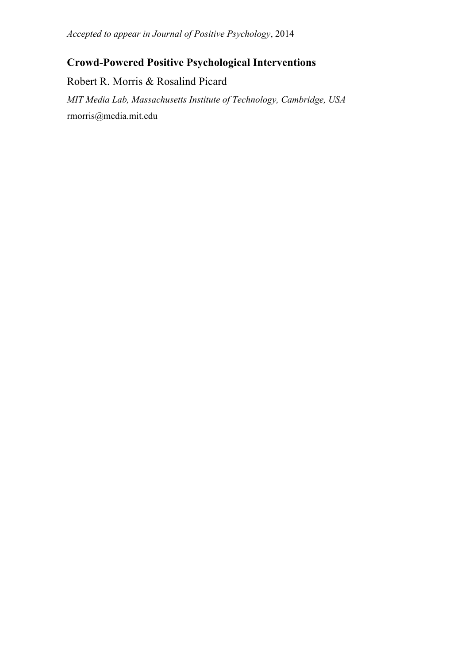*Accepted to appear in Journal of Positive Psychology*, 2014

# **Crowd-Powered Positive Psychological Interventions**

Robert R. Morris & Rosalind Picard

*MIT Media Lab, Massachusetts Institute of Technology, Cambridge, USA* rmorris@media.mit.edu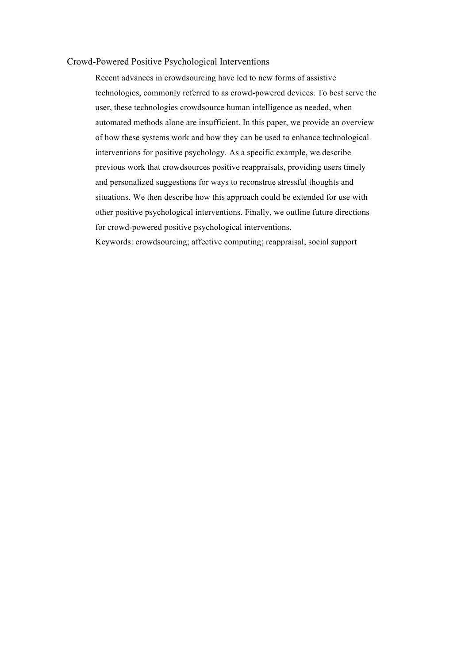## Crowd-Powered Positive Psychological Interventions

Recent advances in crowdsourcing have led to new forms of assistive technologies, commonly referred to as crowd-powered devices. To best serve the user, these technologies crowdsource human intelligence as needed, when automated methods alone are insufficient. In this paper, we provide an overview of how these systems work and how they can be used to enhance technological interventions for positive psychology. As a specific example, we describe previous work that crowdsources positive reappraisals, providing users timely and personalized suggestions for ways to reconstrue stressful thoughts and situations. We then describe how this approach could be extended for use with other positive psychological interventions. Finally, we outline future directions for crowd-powered positive psychological interventions.

Keywords: crowdsourcing; affective computing; reappraisal; social support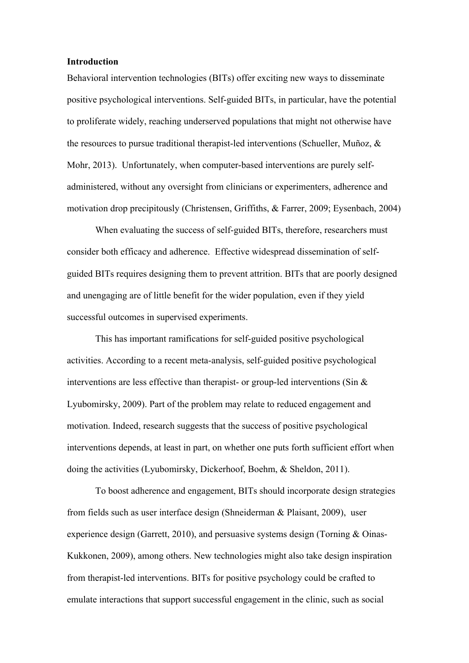#### **Introduction**

Behavioral intervention technologies (BITs) offer exciting new ways to disseminate positive psychological interventions. Self-guided BITs, in particular, have the potential to proliferate widely, reaching underserved populations that might not otherwise have the resources to pursue traditional therapist-led interventions (Schueller, Muñoz, & Mohr, 2013). Unfortunately, when computer-based interventions are purely selfadministered, without any oversight from clinicians or experimenters, adherence and motivation drop precipitously (Christensen, Griffiths, & Farrer, 2009; Eysenbach, 2004)

When evaluating the success of self-guided BITs, therefore, researchers must consider both efficacy and adherence. Effective widespread dissemination of selfguided BITs requires designing them to prevent attrition. BITs that are poorly designed and unengaging are of little benefit for the wider population, even if they yield successful outcomes in supervised experiments.

This has important ramifications for self-guided positive psychological activities. According to a recent meta-analysis, self-guided positive psychological interventions are less effective than therapist- or group-led interventions (Sin  $\&$ Lyubomirsky, 2009). Part of the problem may relate to reduced engagement and motivation. Indeed, research suggests that the success of positive psychological interventions depends, at least in part, on whether one puts forth sufficient effort when doing the activities (Lyubomirsky, Dickerhoof, Boehm, & Sheldon, 2011).

To boost adherence and engagement, BITs should incorporate design strategies from fields such as user interface design (Shneiderman & Plaisant, 2009), user experience design (Garrett, 2010), and persuasive systems design (Torning & Oinas-Kukkonen, 2009), among others. New technologies might also take design inspiration from therapist-led interventions. BITs for positive psychology could be crafted to emulate interactions that support successful engagement in the clinic, such as social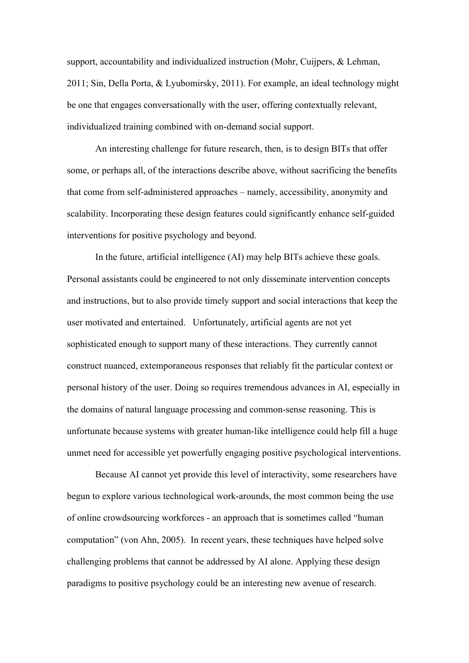support, accountability and individualized instruction (Mohr, Cuijpers, & Lehman, 2011; Sin, Della Porta, & Lyubomirsky, 2011). For example, an ideal technology might be one that engages conversationally with the user, offering contextually relevant, individualized training combined with on-demand social support.

An interesting challenge for future research, then, is to design BITs that offer some, or perhaps all, of the interactions describe above, without sacrificing the benefits that come from self-administered approaches – namely, accessibility, anonymity and scalability. Incorporating these design features could significantly enhance self-guided interventions for positive psychology and beyond.

In the future, artificial intelligence (AI) may help BITs achieve these goals. Personal assistants could be engineered to not only disseminate intervention concepts and instructions, but to also provide timely support and social interactions that keep the user motivated and entertained. Unfortunately, artificial agents are not yet sophisticated enough to support many of these interactions. They currently cannot construct nuanced, extemporaneous responses that reliably fit the particular context or personal history of the user. Doing so requires tremendous advances in AI, especially in the domains of natural language processing and common-sense reasoning. This is unfortunate because systems with greater human-like intelligence could help fill a huge unmet need for accessible yet powerfully engaging positive psychological interventions.

Because AI cannot yet provide this level of interactivity, some researchers have begun to explore various technological work-arounds, the most common being the use of online crowdsourcing workforces - an approach that is sometimes called "human computation" (von Ahn, 2005). In recent years, these techniques have helped solve challenging problems that cannot be addressed by AI alone. Applying these design paradigms to positive psychology could be an interesting new avenue of research.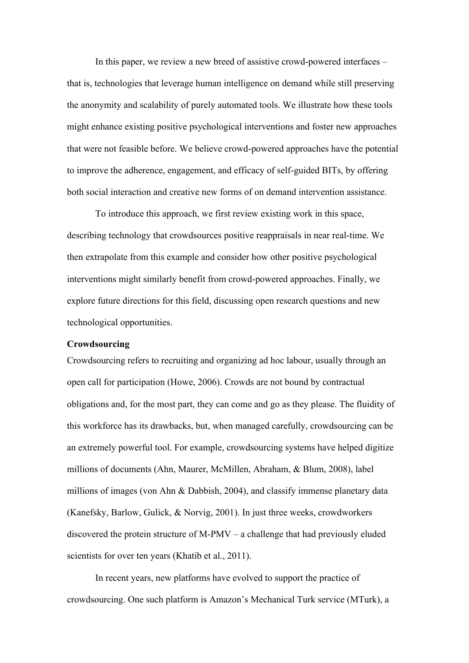In this paper, we review a new breed of assistive crowd-powered interfaces – that is, technologies that leverage human intelligence on demand while still preserving the anonymity and scalability of purely automated tools. We illustrate how these tools might enhance existing positive psychological interventions and foster new approaches that were not feasible before. We believe crowd-powered approaches have the potential to improve the adherence, engagement, and efficacy of self-guided BITs, by offering both social interaction and creative new forms of on demand intervention assistance.

To introduce this approach, we first review existing work in this space, describing technology that crowdsources positive reappraisals in near real-time. We then extrapolate from this example and consider how other positive psychological interventions might similarly benefit from crowd-powered approaches. Finally, we explore future directions for this field, discussing open research questions and new technological opportunities.

#### **Crowdsourcing**

Crowdsourcing refers to recruiting and organizing ad hoc labour, usually through an open call for participation (Howe, 2006). Crowds are not bound by contractual obligations and, for the most part, they can come and go as they please. The fluidity of this workforce has its drawbacks, but, when managed carefully, crowdsourcing can be an extremely powerful tool. For example, crowdsourcing systems have helped digitize millions of documents (Ahn, Maurer, McMillen, Abraham, & Blum, 2008), label millions of images (von Ahn & Dabbish, 2004), and classify immense planetary data (Kanefsky, Barlow, Gulick, & Norvig, 2001). In just three weeks, crowdworkers discovered the protein structure of M-PMV – a challenge that had previously eluded scientists for over ten years (Khatib et al., 2011).

In recent years, new platforms have evolved to support the practice of crowdsourcing. One such platform is Amazon's Mechanical Turk service (MTurk), a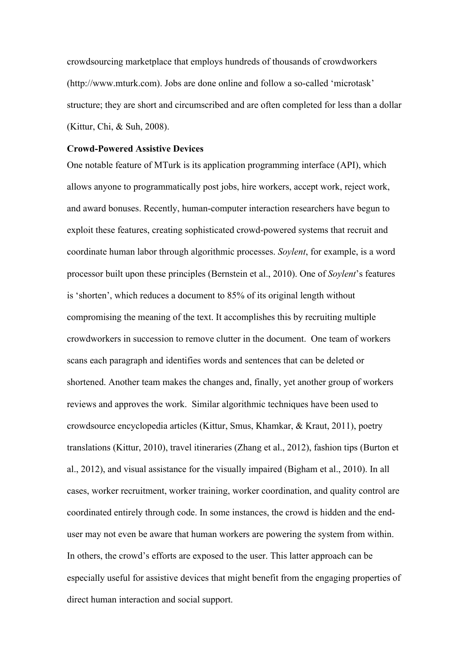crowdsourcing marketplace that employs hundreds of thousands of crowdworkers (http://www.mturk.com). Jobs are done online and follow a so-called 'microtask' structure; they are short and circumscribed and are often completed for less than a dollar (Kittur, Chi, & Suh, 2008).

## **Crowd-Powered Assistive Devices**

One notable feature of MTurk is its application programming interface (API), which allows anyone to programmatically post jobs, hire workers, accept work, reject work, and award bonuses. Recently, human-computer interaction researchers have begun to exploit these features, creating sophisticated crowd-powered systems that recruit and coordinate human labor through algorithmic processes. *Soylent*, for example, is a word processor built upon these principles (Bernstein et al., 2010). One of *Soylent*'s features is 'shorten', which reduces a document to 85% of its original length without compromising the meaning of the text. It accomplishes this by recruiting multiple crowdworkers in succession to remove clutter in the document. One team of workers scans each paragraph and identifies words and sentences that can be deleted or shortened. Another team makes the changes and, finally, yet another group of workers reviews and approves the work. Similar algorithmic techniques have been used to crowdsource encyclopedia articles (Kittur, Smus, Khamkar, & Kraut, 2011), poetry translations (Kittur, 2010), travel itineraries (Zhang et al., 2012), fashion tips (Burton et al., 2012), and visual assistance for the visually impaired (Bigham et al., 2010). In all cases, worker recruitment, worker training, worker coordination, and quality control are coordinated entirely through code. In some instances, the crowd is hidden and the enduser may not even be aware that human workers are powering the system from within. In others, the crowd's efforts are exposed to the user. This latter approach can be especially useful for assistive devices that might benefit from the engaging properties of direct human interaction and social support.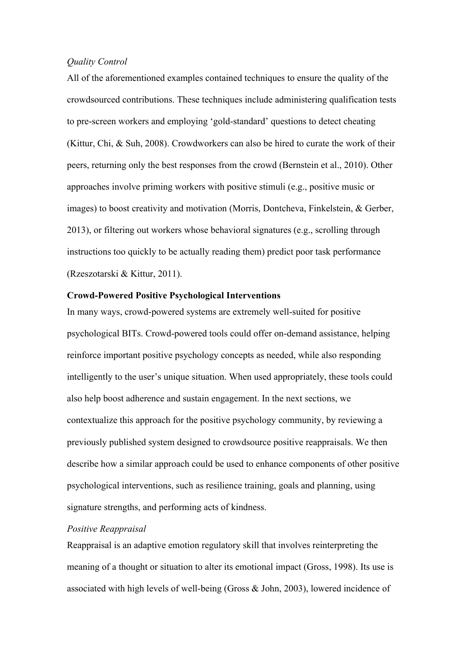## *Quality Control*

All of the aforementioned examples contained techniques to ensure the quality of the crowdsourced contributions. These techniques include administering qualification tests to pre-screen workers and employing 'gold-standard' questions to detect cheating (Kittur, Chi, & Suh, 2008). Crowdworkers can also be hired to curate the work of their peers, returning only the best responses from the crowd (Bernstein et al., 2010). Other approaches involve priming workers with positive stimuli (e.g., positive music or images) to boost creativity and motivation (Morris, Dontcheva, Finkelstein, & Gerber, 2013), or filtering out workers whose behavioral signatures (e.g., scrolling through instructions too quickly to be actually reading them) predict poor task performance (Rzeszotarski & Kittur, 2011).

#### **Crowd-Powered Positive Psychological Interventions**

In many ways, crowd-powered systems are extremely well-suited for positive psychological BITs. Crowd-powered tools could offer on-demand assistance, helping reinforce important positive psychology concepts as needed, while also responding intelligently to the user's unique situation. When used appropriately, these tools could also help boost adherence and sustain engagement. In the next sections, we contextualize this approach for the positive psychology community, by reviewing a previously published system designed to crowdsource positive reappraisals. We then describe how a similar approach could be used to enhance components of other positive psychological interventions, such as resilience training, goals and planning, using signature strengths, and performing acts of kindness.

## *Positive Reappraisal*

Reappraisal is an adaptive emotion regulatory skill that involves reinterpreting the meaning of a thought or situation to alter its emotional impact (Gross, 1998). Its use is associated with high levels of well-being (Gross & John, 2003), lowered incidence of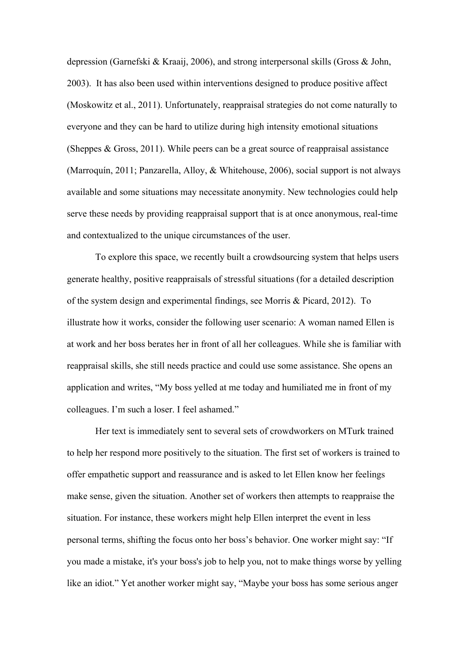depression (Garnefski & Kraaij, 2006), and strong interpersonal skills (Gross & John, 2003). It has also been used within interventions designed to produce positive affect (Moskowitz et al., 2011). Unfortunately, reappraisal strategies do not come naturally to everyone and they can be hard to utilize during high intensity emotional situations (Sheppes & Gross, 2011). While peers can be a great source of reappraisal assistance (Marroquín, 2011; Panzarella, Alloy, & Whitehouse, 2006), social support is not always available and some situations may necessitate anonymity. New technologies could help serve these needs by providing reappraisal support that is at once anonymous, real-time and contextualized to the unique circumstances of the user.

To explore this space, we recently built a crowdsourcing system that helps users generate healthy, positive reappraisals of stressful situations (for a detailed description of the system design and experimental findings, see Morris & Picard, 2012). To illustrate how it works, consider the following user scenario: A woman named Ellen is at work and her boss berates her in front of all her colleagues. While she is familiar with reappraisal skills, she still needs practice and could use some assistance. She opens an application and writes, "My boss yelled at me today and humiliated me in front of my colleagues. I'm such a loser. I feel ashamed."

Her text is immediately sent to several sets of crowdworkers on MTurk trained to help her respond more positively to the situation. The first set of workers is trained to offer empathetic support and reassurance and is asked to let Ellen know her feelings make sense, given the situation. Another set of workers then attempts to reappraise the situation. For instance, these workers might help Ellen interpret the event in less personal terms, shifting the focus onto her boss's behavior. One worker might say: "If you made a mistake, it's your boss's job to help you, not to make things worse by yelling like an idiot." Yet another worker might say, "Maybe your boss has some serious anger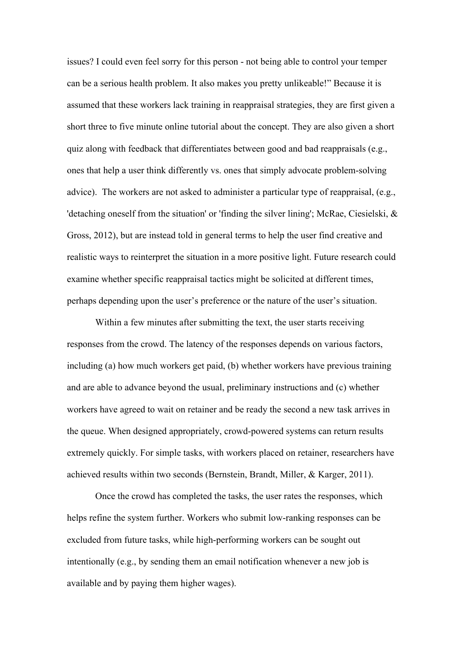issues? I could even feel sorry for this person - not being able to control your temper can be a serious health problem. It also makes you pretty unlikeable!" Because it is assumed that these workers lack training in reappraisal strategies, they are first given a short three to five minute online tutorial about the concept. They are also given a short quiz along with feedback that differentiates between good and bad reappraisals (e.g., ones that help a user think differently vs. ones that simply advocate problem-solving advice). The workers are not asked to administer a particular type of reappraisal, (e.g., 'detaching oneself from the situation' or 'finding the silver lining'; McRae, Ciesielski, & Gross, 2012), but are instead told in general terms to help the user find creative and realistic ways to reinterpret the situation in a more positive light. Future research could examine whether specific reappraisal tactics might be solicited at different times, perhaps depending upon the user's preference or the nature of the user's situation.

Within a few minutes after submitting the text, the user starts receiving responses from the crowd. The latency of the responses depends on various factors, including (a) how much workers get paid, (b) whether workers have previous training and are able to advance beyond the usual, preliminary instructions and (c) whether workers have agreed to wait on retainer and be ready the second a new task arrives in the queue. When designed appropriately, crowd-powered systems can return results extremely quickly. For simple tasks, with workers placed on retainer, researchers have achieved results within two seconds (Bernstein, Brandt, Miller, & Karger, 2011).

Once the crowd has completed the tasks, the user rates the responses, which helps refine the system further. Workers who submit low-ranking responses can be excluded from future tasks, while high-performing workers can be sought out intentionally (e.g., by sending them an email notification whenever a new job is available and by paying them higher wages).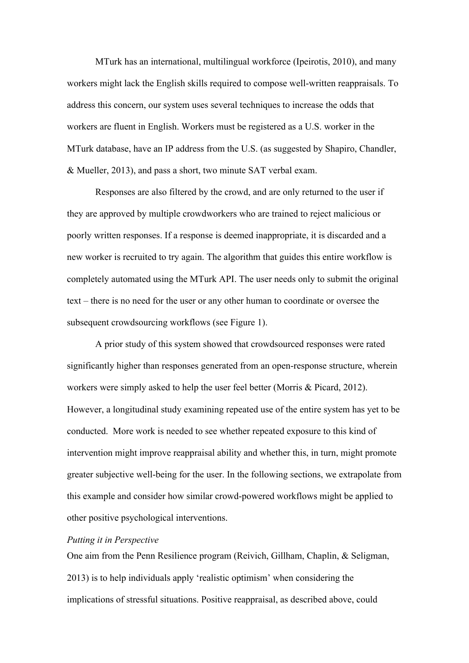MTurk has an international, multilingual workforce (Ipeirotis, 2010), and many workers might lack the English skills required to compose well-written reappraisals. To address this concern, our system uses several techniques to increase the odds that workers are fluent in English. Workers must be registered as a U.S. worker in the MTurk database, have an IP address from the U.S. (as suggested by Shapiro, Chandler, & Mueller, 2013), and pass a short, two minute SAT verbal exam.

Responses are also filtered by the crowd, and are only returned to the user if they are approved by multiple crowdworkers who are trained to reject malicious or poorly written responses. If a response is deemed inappropriate, it is discarded and a new worker is recruited to try again. The algorithm that guides this entire workflow is completely automated using the MTurk API. The user needs only to submit the original text – there is no need for the user or any other human to coordinate or oversee the subsequent crowdsourcing workflows (see Figure 1).

A prior study of this system showed that crowdsourced responses were rated significantly higher than responses generated from an open-response structure, wherein workers were simply asked to help the user feel better (Morris & Picard, 2012). However, a longitudinal study examining repeated use of the entire system has yet to be conducted. More work is needed to see whether repeated exposure to this kind of intervention might improve reappraisal ability and whether this, in turn, might promote greater subjective well-being for the user. In the following sections, we extrapolate from this example and consider how similar crowd-powered workflows might be applied to other positive psychological interventions.

## *Putting it in Perspective*

One aim from the Penn Resilience program (Reivich, Gillham, Chaplin, & Seligman, 2013) is to help individuals apply 'realistic optimism' when considering the implications of stressful situations. Positive reappraisal, as described above, could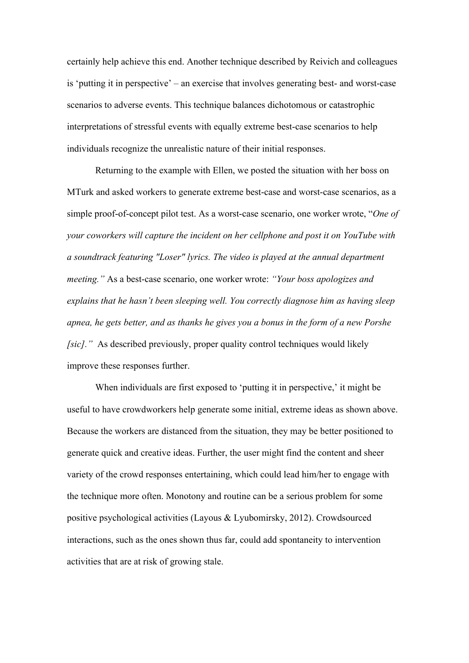certainly help achieve this end. Another technique described by Reivich and colleagues is 'putting it in perspective' – an exercise that involves generating best- and worst-case scenarios to adverse events. This technique balances dichotomous or catastrophic interpretations of stressful events with equally extreme best-case scenarios to help individuals recognize the unrealistic nature of their initial responses.

Returning to the example with Ellen, we posted the situation with her boss on MTurk and asked workers to generate extreme best-case and worst-case scenarios, as a simple proof-of-concept pilot test. As a worst-case scenario, one worker wrote, "*One of your coworkers will capture the incident on her cellphone and post it on YouTube with a soundtrack featuring "Loser" lyrics. The video is played at the annual department meeting."* As a best-case scenario, one worker wrote: *"Your boss apologizes and explains that he hasn't been sleeping well. You correctly diagnose him as having sleep apnea, he gets better, and as thanks he gives you a bonus in the form of a new Porshe [sic]."* As described previously, proper quality control techniques would likely improve these responses further.

When individuals are first exposed to 'putting it in perspective,' it might be useful to have crowdworkers help generate some initial, extreme ideas as shown above. Because the workers are distanced from the situation, they may be better positioned to generate quick and creative ideas. Further, the user might find the content and sheer variety of the crowd responses entertaining, which could lead him/her to engage with the technique more often. Monotony and routine can be a serious problem for some positive psychological activities (Layous & Lyubomirsky, 2012). Crowdsourced interactions, such as the ones shown thus far, could add spontaneity to intervention activities that are at risk of growing stale.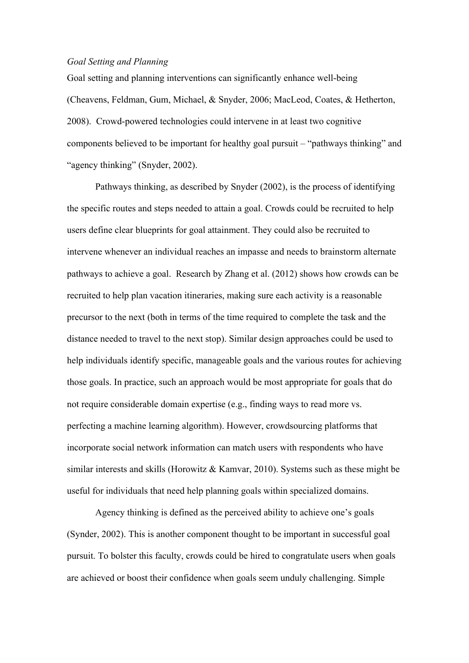## *Goal Setting and Planning*

Goal setting and planning interventions can significantly enhance well-being (Cheavens, Feldman, Gum, Michael, & Snyder, 2006; MacLeod, Coates, & Hetherton, 2008). Crowd-powered technologies could intervene in at least two cognitive components believed to be important for healthy goal pursuit – "pathways thinking" and "agency thinking" (Snyder, 2002).

Pathways thinking, as described by Snyder (2002), is the process of identifying the specific routes and steps needed to attain a goal. Crowds could be recruited to help users define clear blueprints for goal attainment. They could also be recruited to intervene whenever an individual reaches an impasse and needs to brainstorm alternate pathways to achieve a goal. Research by Zhang et al. (2012) shows how crowds can be recruited to help plan vacation itineraries, making sure each activity is a reasonable precursor to the next (both in terms of the time required to complete the task and the distance needed to travel to the next stop). Similar design approaches could be used to help individuals identify specific, manageable goals and the various routes for achieving those goals. In practice, such an approach would be most appropriate for goals that do not require considerable domain expertise (e.g., finding ways to read more vs. perfecting a machine learning algorithm). However, crowdsourcing platforms that incorporate social network information can match users with respondents who have similar interests and skills (Horowitz & Kamvar, 2010). Systems such as these might be useful for individuals that need help planning goals within specialized domains.

Agency thinking is defined as the perceived ability to achieve one's goals (Synder, 2002). This is another component thought to be important in successful goal pursuit. To bolster this faculty, crowds could be hired to congratulate users when goals are achieved or boost their confidence when goals seem unduly challenging. Simple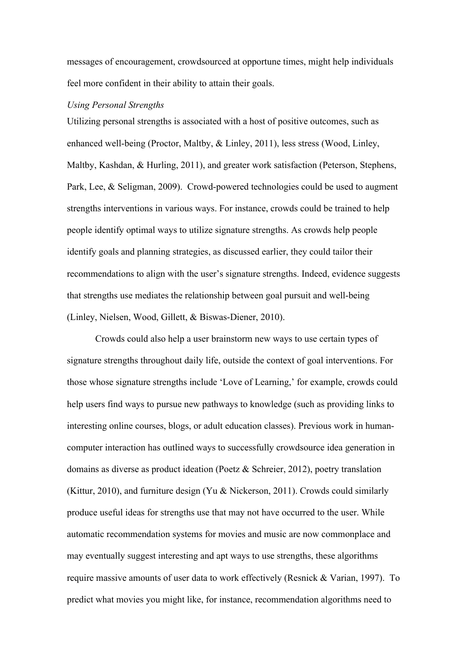messages of encouragement, crowdsourced at opportune times, might help individuals feel more confident in their ability to attain their goals.

### *Using Personal Strengths*

Utilizing personal strengths is associated with a host of positive outcomes, such as enhanced well-being (Proctor, Maltby, & Linley, 2011), less stress (Wood, Linley, Maltby, Kashdan, & Hurling, 2011), and greater work satisfaction (Peterson, Stephens, Park, Lee, & Seligman, 2009). Crowd-powered technologies could be used to augment strengths interventions in various ways. For instance, crowds could be trained to help people identify optimal ways to utilize signature strengths. As crowds help people identify goals and planning strategies, as discussed earlier, they could tailor their recommendations to align with the user's signature strengths. Indeed, evidence suggests that strengths use mediates the relationship between goal pursuit and well-being (Linley, Nielsen, Wood, Gillett, & Biswas-Diener, 2010).

Crowds could also help a user brainstorm new ways to use certain types of signature strengths throughout daily life, outside the context of goal interventions. For those whose signature strengths include 'Love of Learning,' for example, crowds could help users find ways to pursue new pathways to knowledge (such as providing links to interesting online courses, blogs, or adult education classes). Previous work in humancomputer interaction has outlined ways to successfully crowdsource idea generation in domains as diverse as product ideation (Poetz & Schreier, 2012), poetry translation (Kittur, 2010), and furniture design (Yu & Nickerson, 2011). Crowds could similarly produce useful ideas for strengths use that may not have occurred to the user. While automatic recommendation systems for movies and music are now commonplace and may eventually suggest interesting and apt ways to use strengths, these algorithms require massive amounts of user data to work effectively (Resnick & Varian, 1997). To predict what movies you might like, for instance, recommendation algorithms need to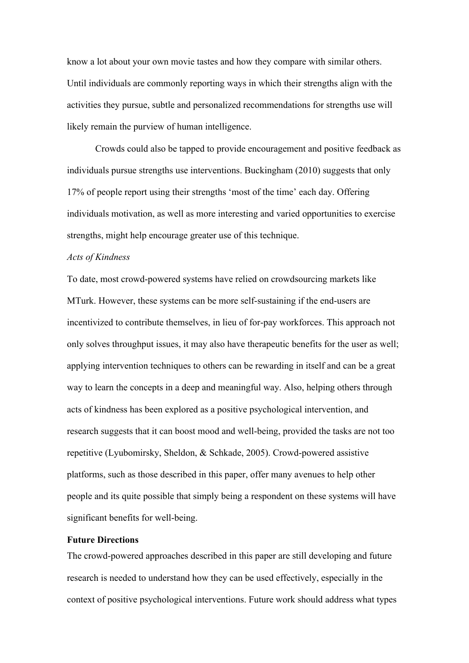know a lot about your own movie tastes and how they compare with similar others. Until individuals are commonly reporting ways in which their strengths align with the activities they pursue, subtle and personalized recommendations for strengths use will likely remain the purview of human intelligence.

Crowds could also be tapped to provide encouragement and positive feedback as individuals pursue strengths use interventions. Buckingham (2010) suggests that only 17% of people report using their strengths 'most of the time' each day. Offering individuals motivation, as well as more interesting and varied opportunities to exercise strengths, might help encourage greater use of this technique.

#### *Acts of Kindness*

To date, most crowd-powered systems have relied on crowdsourcing markets like MTurk. However, these systems can be more self-sustaining if the end-users are incentivized to contribute themselves, in lieu of for-pay workforces. This approach not only solves throughput issues, it may also have therapeutic benefits for the user as well; applying intervention techniques to others can be rewarding in itself and can be a great way to learn the concepts in a deep and meaningful way. Also, helping others through acts of kindness has been explored as a positive psychological intervention, and research suggests that it can boost mood and well-being, provided the tasks are not too repetitive (Lyubomirsky, Sheldon, & Schkade, 2005). Crowd-powered assistive platforms, such as those described in this paper, offer many avenues to help other people and its quite possible that simply being a respondent on these systems will have significant benefits for well-being.

## **Future Directions**

The crowd-powered approaches described in this paper are still developing and future research is needed to understand how they can be used effectively, especially in the context of positive psychological interventions. Future work should address what types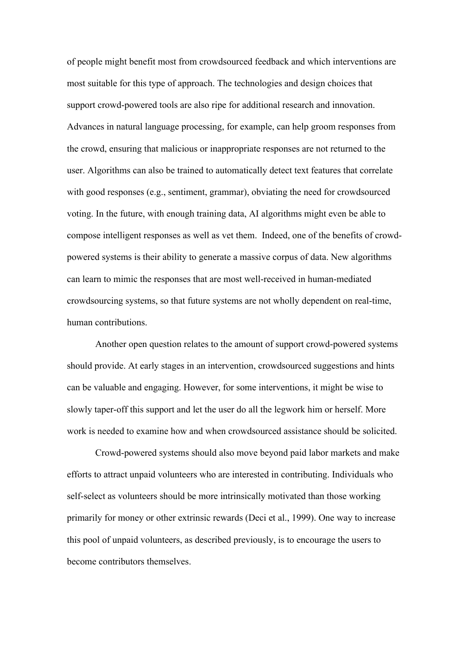of people might benefit most from crowdsourced feedback and which interventions are most suitable for this type of approach. The technologies and design choices that support crowd-powered tools are also ripe for additional research and innovation. Advances in natural language processing, for example, can help groom responses from the crowd, ensuring that malicious or inappropriate responses are not returned to the user. Algorithms can also be trained to automatically detect text features that correlate with good responses (e.g., sentiment, grammar), obviating the need for crowdsourced voting. In the future, with enough training data, AI algorithms might even be able to compose intelligent responses as well as vet them. Indeed, one of the benefits of crowdpowered systems is their ability to generate a massive corpus of data. New algorithms can learn to mimic the responses that are most well-received in human-mediated crowdsourcing systems, so that future systems are not wholly dependent on real-time, human contributions.

Another open question relates to the amount of support crowd-powered systems should provide. At early stages in an intervention, crowdsourced suggestions and hints can be valuable and engaging. However, for some interventions, it might be wise to slowly taper-off this support and let the user do all the legwork him or herself. More work is needed to examine how and when crowdsourced assistance should be solicited.

Crowd-powered systems should also move beyond paid labor markets and make efforts to attract unpaid volunteers who are interested in contributing. Individuals who self-select as volunteers should be more intrinsically motivated than those working primarily for money or other extrinsic rewards (Deci et al., 1999). One way to increase this pool of unpaid volunteers, as described previously, is to encourage the users to become contributors themselves.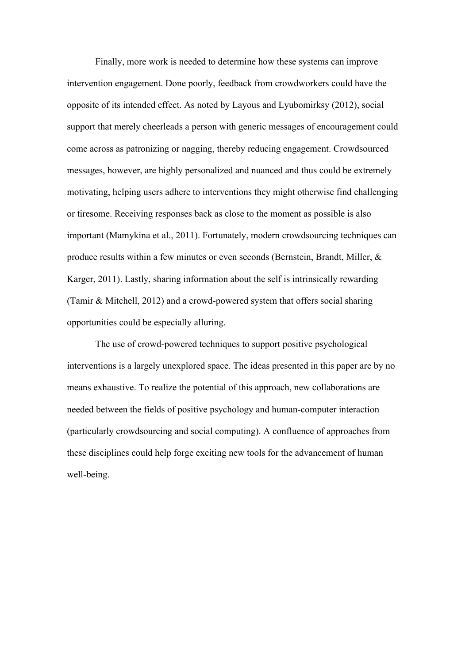Finally, more work is needed to determine how these systems can improve intervention engagement. Done poorly, feedback from crowdworkers could have the opposite of its intended effect. As noted by Layous and Lyubomirksy (2012), social support that merely cheerleads a person with generic messages of encouragement could come across as patronizing or nagging, thereby reducing engagement. Crowdsourced messages, however, are highly personalized and nuanced and thus could be extremely motivating, helping users adhere to interventions they might otherwise find challenging or tiresome. Receiving responses back as close to the moment as possible is also important (Mamykina et al., 2011). Fortunately, modern crowdsourcing techniques can produce results within a few minutes or even seconds (Bernstein, Brandt, Miller, & Karger, 2011). Lastly, sharing information about the self is intrinsically rewarding (Tamir & Mitchell, 2012) and a crowd-powered system that offers social sharing opportunities could be especially alluring.

The use of crowd-powered techniques to support positive psychological interventions is a largely unexplored space. The ideas presented in this paper are by no means exhaustive. To realize the potential of this approach, new collaborations are needed between the fields of positive psychology and human-computer interaction (particularly crowdsourcing and social computing). A confluence of approaches from these disciplines could help forge exciting new tools for the advancement of human well-being.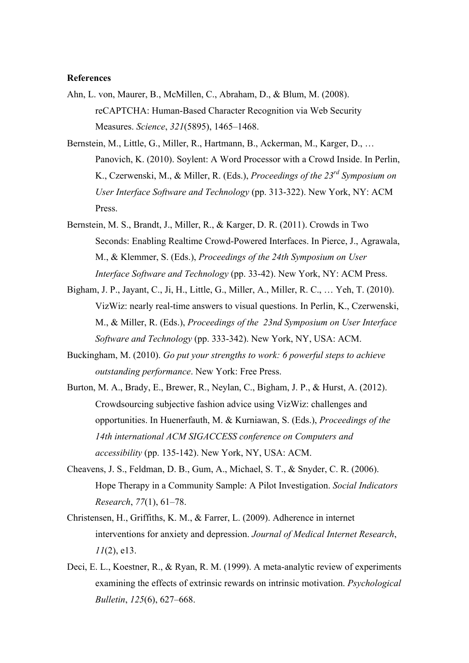## **References**

Ahn, L. von, Maurer, B., McMillen, C., Abraham, D., & Blum, M. (2008). reCAPTCHA: Human-Based Character Recognition via Web Security Measures. *Science*, *321*(5895), 1465–1468.

Bernstein, M., Little, G., Miller, R., Hartmann, B., Ackerman, M., Karger, D., … Panovich, K. (2010). Soylent: A Word Processor with a Crowd Inside. In Perlin, K., Czerwenski, M., & Miller, R. (Eds.), *Proceedings of the 23rd Symposium on User Interface Software and Technology* (pp. 313-322). New York, NY: ACM Press.

- Bernstein, M. S., Brandt, J., Miller, R., & Karger, D. R. (2011). Crowds in Two Seconds: Enabling Realtime Crowd-Powered Interfaces. In Pierce, J., Agrawala, M., & Klemmer, S. (Eds.), *Proceedings of the 24th Symposium on User Interface Software and Technology* (pp. 33-42). New York, NY: ACM Press.
- Bigham, J. P., Jayant, C., Ji, H., Little, G., Miller, A., Miller, R. C., … Yeh, T. (2010). VizWiz: nearly real-time answers to visual questions. In Perlin, K., Czerwenski, M., & Miller, R. (Eds.), *Proceedings of the 23nd Symposium on User Interface Software and Technology* (pp. 333-342). New York, NY, USA: ACM.
- Buckingham, M. (2010). *Go put your strengths to work: 6 powerful steps to achieve outstanding performance*. New York: Free Press.
- Burton, M. A., Brady, E., Brewer, R., Neylan, C., Bigham, J. P., & Hurst, A. (2012). Crowdsourcing subjective fashion advice using VizWiz: challenges and opportunities. In Huenerfauth, M. & Kurniawan, S. (Eds.), *Proceedings of the 14th international ACM SIGACCESS conference on Computers and accessibility* (pp. 135-142). New York, NY, USA: ACM.
- Cheavens, J. S., Feldman, D. B., Gum, A., Michael, S. T., & Snyder, C. R. (2006). Hope Therapy in a Community Sample: A Pilot Investigation. *Social Indicators Research*, *77*(1), 61–78.
- Christensen, H., Griffiths, K. M., & Farrer, L. (2009). Adherence in internet interventions for anxiety and depression. *Journal of Medical Internet Research*, *11*(2), e13.
- Deci, E. L., Koestner, R., & Ryan, R. M. (1999). A meta-analytic review of experiments examining the effects of extrinsic rewards on intrinsic motivation. *Psychological Bulletin*, *125*(6), 627–668.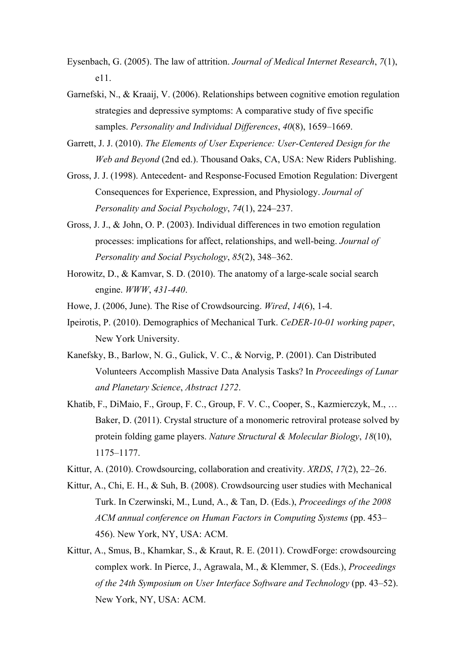- Eysenbach, G. (2005). The law of attrition. *Journal of Medical Internet Research*, *7*(1), e11.
- Garnefski, N., & Kraaij, V. (2006). Relationships between cognitive emotion regulation strategies and depressive symptoms: A comparative study of five specific samples. *Personality and Individual Differences*, *40*(8), 1659–1669.
- Garrett, J. J. (2010). *The Elements of User Experience: User-Centered Design for the Web and Beyond* (2nd ed.). Thousand Oaks, CA, USA: New Riders Publishing.
- Gross, J. J. (1998). Antecedent- and Response-Focused Emotion Regulation: Divergent Consequences for Experience, Expression, and Physiology. *Journal of Personality and Social Psychology*, *74*(1), 224–237.
- Gross, J. J., & John, O. P. (2003). Individual differences in two emotion regulation processes: implications for affect, relationships, and well-being. *Journal of Personality and Social Psychology*, *85*(2), 348–362.
- Horowitz, D., & Kamvar, S. D. (2010). The anatomy of a large-scale social search engine. *WWW*, *431-440*.
- Howe, J. (2006, June). The Rise of Crowdsourcing. *Wired*, *14*(6), 1-4.
- Ipeirotis, P. (2010). Demographics of Mechanical Turk. *CeDER-10-01 working paper*, New York University.
- Kanefsky, B., Barlow, N. G., Gulick, V. C., & Norvig, P. (2001). Can Distributed Volunteers Accomplish Massive Data Analysis Tasks? In *Proceedings of Lunar and Planetary Science*, *Abstract 1272*.
- Khatib, F., DiMaio, F., Group, F. C., Group, F. V. C., Cooper, S., Kazmierczyk, M., … Baker, D. (2011). Crystal structure of a monomeric retroviral protease solved by protein folding game players. *Nature Structural & Molecular Biology*, *18*(10), 1175–1177.
- Kittur, A. (2010). Crowdsourcing, collaboration and creativity. *XRDS*, *17*(2), 22–26.
- Kittur, A., Chi, E. H., & Suh, B. (2008). Crowdsourcing user studies with Mechanical Turk. In Czerwinski, M., Lund, A., & Tan, D. (Eds.), *Proceedings of the 2008 ACM annual conference on Human Factors in Computing Systems* (pp. 453– 456). New York, NY, USA: ACM.
- Kittur, A., Smus, B., Khamkar, S., & Kraut, R. E. (2011). CrowdForge: crowdsourcing complex work. In Pierce, J., Agrawala, M., & Klemmer, S. (Eds.), *Proceedings of the 24th Symposium on User Interface Software and Technology* (pp. 43–52). New York, NY, USA: ACM.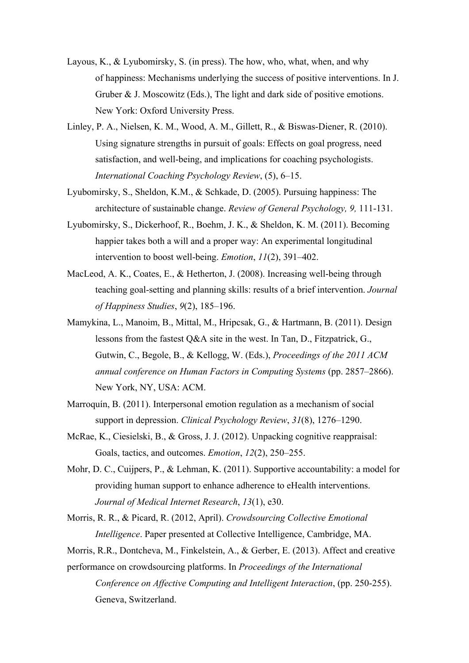- Layous, K., & Lyubomirsky, S. (in press). The how, who, what, when, and why of happiness: Mechanisms underlying the success of positive interventions. In J. Gruber & J. Moscowitz (Eds.), The light and dark side of positive emotions. New York: Oxford University Press.
- Linley, P. A., Nielsen, K. M., Wood, A. M., Gillett, R., & Biswas-Diener, R. (2010). Using signature strengths in pursuit of goals: Effects on goal progress, need satisfaction, and well-being, and implications for coaching psychologists. *International Coaching Psychology Review*, (5), 6–15.
- Lyubomirsky, S., Sheldon, K.M., & Schkade, D. (2005). Pursuing happiness: The architecture of sustainable change. *Review of General Psychology, 9,* 111-131.
- Lyubomirsky, S., Dickerhoof, R., Boehm, J. K., & Sheldon, K. M. (2011). Becoming happier takes both a will and a proper way: An experimental longitudinal intervention to boost well-being. *Emotion*, *11*(2), 391–402.
- MacLeod, A. K., Coates, E., & Hetherton, J. (2008). Increasing well-being through teaching goal-setting and planning skills: results of a brief intervention. *Journal of Happiness Studies*, *9*(2), 185–196.
- Mamykina, L., Manoim, B., Mittal, M., Hripcsak, G., & Hartmann, B. (2011). Design lessons from the fastest Q&A site in the west. In Tan, D., Fitzpatrick, G., Gutwin, C., Begole, B., & Kellogg, W. (Eds.), *Proceedings of the 2011 ACM annual conference on Human Factors in Computing Systems* (pp. 2857–2866). New York, NY, USA: ACM.
- Marroquín, B. (2011). Interpersonal emotion regulation as a mechanism of social support in depression. *Clinical Psychology Review*, *31*(8), 1276–1290.
- McRae, K., Ciesielski, B., & Gross, J. J. (2012). Unpacking cognitive reappraisal: Goals, tactics, and outcomes. *Emotion*, *12*(2), 250–255.
- Mohr, D. C., Cuijpers, P., & Lehman, K. (2011). Supportive accountability: a model for providing human support to enhance adherence to eHealth interventions. *Journal of Medical Internet Research*, *13*(1), e30.
- Morris, R. R., & Picard, R. (2012, April). *Crowdsourcing Collective Emotional Intelligence*. Paper presented at Collective Intelligence, Cambridge, MA.
- Morris, R.R., Dontcheva, M., Finkelstein, A., & Gerber, E. (2013). Affect and creative
- performance on crowdsourcing platforms. In *Proceedings of the International Conference on Affective Computing and Intelligent Interaction*, (pp. 250-255). Geneva, Switzerland.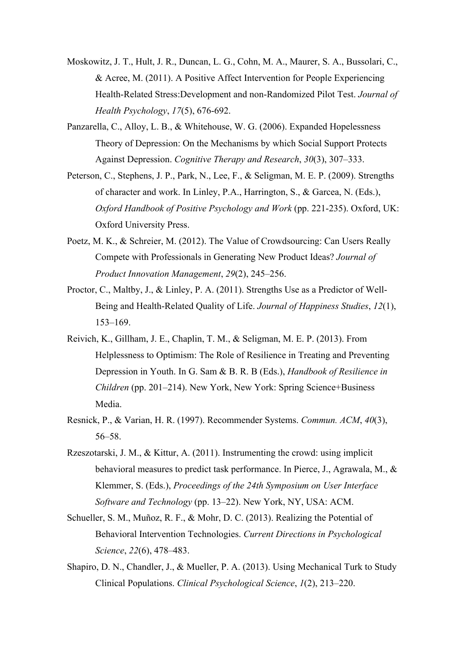- Moskowitz, J. T., Hult, J. R., Duncan, L. G., Cohn, M. A., Maurer, S. A., Bussolari, C., & Acree, M. (2011). A Positive Affect Intervention for People Experiencing Health-Related Stress:Development and non-Randomized Pilot Test. *Journal of Health Psychology*, *17*(5), 676-692.
- Panzarella, C., Alloy, L. B., & Whitehouse, W. G. (2006). Expanded Hopelessness Theory of Depression: On the Mechanisms by which Social Support Protects Against Depression. *Cognitive Therapy and Research*, *30*(3), 307–333.
- Peterson, C., Stephens, J. P., Park, N., Lee, F., & Seligman, M. E. P. (2009). Strengths of character and work. In Linley, P.A., Harrington, S., & Garcea, N. (Eds.), *Oxford Handbook of Positive Psychology and Work* (pp. 221-235). Oxford, UK: Oxford University Press.
- Poetz, M. K., & Schreier, M. (2012). The Value of Crowdsourcing: Can Users Really Compete with Professionals in Generating New Product Ideas? *Journal of Product Innovation Management*, *29*(2), 245–256.
- Proctor, C., Maltby, J., & Linley, P. A. (2011). Strengths Use as a Predictor of Well-Being and Health-Related Quality of Life. *Journal of Happiness Studies*, *12*(1), 153–169.
- Reivich, K., Gillham, J. E., Chaplin, T. M., & Seligman, M. E. P. (2013). From Helplessness to Optimism: The Role of Resilience in Treating and Preventing Depression in Youth. In G. Sam & B. R. B (Eds.), *Handbook of Resilience in Children* (pp. 201–214). New York, New York: Spring Science+Business Media.
- Resnick, P., & Varian, H. R. (1997). Recommender Systems. *Commun. ACM*, *40*(3), 56–58.
- Rzeszotarski, J. M., & Kittur, A. (2011). Instrumenting the crowd: using implicit behavioral measures to predict task performance. In Pierce, J., Agrawala, M., & Klemmer, S. (Eds.), *Proceedings of the 24th Symposium on User Interface Software and Technology* (pp. 13–22). New York, NY, USA: ACM.
- Schueller, S. M., Muñoz, R. F., & Mohr, D. C. (2013). Realizing the Potential of Behavioral Intervention Technologies. *Current Directions in Psychological Science*, *22*(6), 478–483.
- Shapiro, D. N., Chandler, J., & Mueller, P. A. (2013). Using Mechanical Turk to Study Clinical Populations. *Clinical Psychological Science*, *1*(2), 213–220.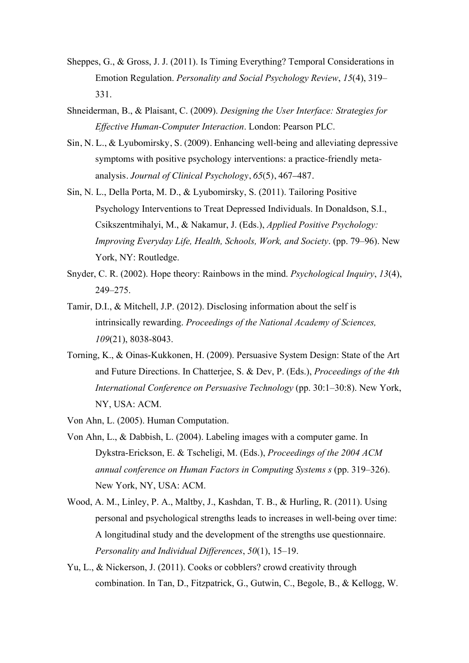- Sheppes, G., & Gross, J. J. (2011). Is Timing Everything? Temporal Considerations in Emotion Regulation. *Personality and Social Psychology Review*, *15*(4), 319– 331.
- Shneiderman, B., & Plaisant, C. (2009). *Designing the User Interface: Strategies for Effective Human-Computer Interaction*. London: Pearson PLC.
- Sin, N. L., & Lyubomirsky, S. (2009). Enhancing well-being and alleviating depressive symptoms with positive psychology interventions: a practice-friendly metaanalysis. *Journal of Clinical Psychology*, *65*(5), 467–487.
- Sin, N. L., Della Porta, M. D., & Lyubomirsky, S. (2011). Tailoring Positive Psychology Interventions to Treat Depressed Individuals. In Donaldson, S.I., Csikszentmihalyi, M., & Nakamur, J. (Eds.), *Applied Positive Psychology: Improving Everyday Life, Health, Schools, Work, and Society*. (pp. 79–96). New York, NY: Routledge.
- Snyder, C. R. (2002). Hope theory: Rainbows in the mind. *Psychological Inquiry*, *13*(4), 249–275.
- Tamir, D.I., & Mitchell, J.P. (2012). Disclosing information about the self is intrinsically rewarding. *Proceedings of the National Academy of Sciences, 109*(21), 8038-8043.
- Torning, K., & Oinas-Kukkonen, H. (2009). Persuasive System Design: State of the Art and Future Directions. In Chatterjee, S. & Dev, P. (Eds.), *Proceedings of the 4th International Conference on Persuasive Technology* (pp. 30:1–30:8). New York, NY, USA: ACM.
- Von Ahn, L. (2005). Human Computation.
- Von Ahn, L., & Dabbish, L. (2004). Labeling images with a computer game. In Dykstra-Erickson, E. & Tscheligi, M. (Eds.), *Proceedings of the 2004 ACM annual conference on Human Factors in Computing Systems s* (pp. 319–326). New York, NY, USA: ACM.
- Wood, A. M., Linley, P. A., Maltby, J., Kashdan, T. B., & Hurling, R. (2011). Using personal and psychological strengths leads to increases in well-being over time: A longitudinal study and the development of the strengths use questionnaire. *Personality and Individual Differences*, *50*(1), 15–19.
- Yu, L., & Nickerson, J. (2011). Cooks or cobblers? crowd creativity through combination. In Tan, D., Fitzpatrick, G., Gutwin, C., Begole, B., & Kellogg, W.